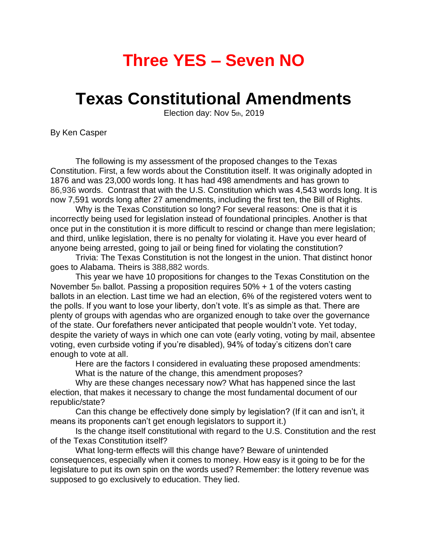# **Three YES – Seven NO**

## **Texas Constitutional Amendments**

Election day: Nov 5th, 2019

By Ken Casper

The following is my assessment of the proposed changes to the Texas Constitution. First, a few words about the Constitution itself. It was originally adopted in 1876 and was 23,000 words long. It has had 498 amendments and has grown to 86,936 words. Contrast that with the U.S. Constitution which was 4,543 words long. It is now 7,591 words long after 27 amendments, including the first ten, the Bill of Rights.

Why is the Texas Constitution so long? For several reasons: One is that it is incorrectly being used for legislation instead of foundational principles. Another is that once put in the constitution it is more difficult to rescind or change than mere legislation; and third, unlike legislation, there is no penalty for violating it. Have you ever heard of anyone being arrested, going to jail or being fined for violating the constitution?

Trivia: The Texas Constitution is not the longest in the union. That distinct honor goes to Alabama. Theirs is 388,882 words.

This year we have 10 propositions for changes to the Texas Constitution on the November 5th ballot. Passing a proposition requires 50% + 1 of the voters casting ballots in an election. Last time we had an election, 6% of the registered voters went to the polls. If you want to lose your liberty, don't vote. It's as simple as that. There are plenty of groups with agendas who are organized enough to take over the governance of the state. Our forefathers never anticipated that people wouldn't vote. Yet today, despite the variety of ways in which one can vote (early voting, voting by mail, absentee voting, even curbside voting if you're disabled), 94% of today's citizens don't care enough to vote at all.

Here are the factors I considered in evaluating these proposed amendments: What is the nature of the change, this amendment proposes?

Why are these changes necessary now? What has happened since the last election, that makes it necessary to change the most fundamental document of our republic/state?

Can this change be effectively done simply by legislation? (If it can and isn't, it means its proponents can't get enough legislators to support it.)

Is the change itself constitutional with regard to the U.S. Constitution and the rest of the Texas Constitution itself?

What long-term effects will this change have? Beware of unintended consequences, especially when it comes to money. How easy is it going to be for the legislature to put its own spin on the words used? Remember: the lottery revenue was supposed to go exclusively to education. They lied.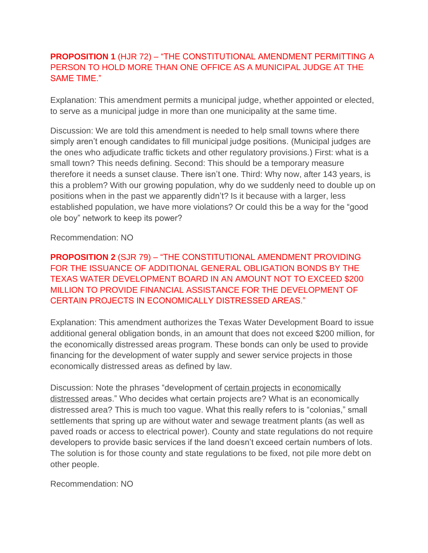## **PROPOSITION 1** (HJR 72) – "THE CONSTITUTIONAL AMENDMENT PERMITTING A PERSON TO HOLD MORE THAN ONE OFFICE AS A MUNICIPAL JUDGE AT THE SAME TIME."

Explanation: This amendment permits a municipal judge, whether appointed or elected, to serve as a municipal judge in more than one municipality at the same time.

Discussion: We are told this amendment is needed to help small towns where there simply aren't enough candidates to fill municipal judge positions. (Municipal judges are the ones who adjudicate traffic tickets and other regulatory provisions.) First: what is a small town? This needs defining. Second: This should be a temporary measure therefore it needs a sunset clause. There isn't one. Third: Why now, after 143 years, is this a problem? With our growing population, why do we suddenly need to double up on positions when in the past we apparently didn't? Is it because with a larger, less established population, we have more violations? Or could this be a way for the "good ole boy" network to keep its power?

Recommendation: NO

**PROPOSITION 2** (SJR 79) – "THE CONSTITUTIONAL AMENDMENT PROVIDING FOR THE ISSUANCE OF ADDITIONAL GENERAL OBLIGATION BONDS BY THE TEXAS WATER DEVELOPMENT BOARD IN AN AMOUNT NOT TO EXCEED \$200 MILLION TO PROVIDE FINANCIAL ASSISTANCE FOR THE DEVELOPMENT OF CERTAIN PROJECTS IN ECONOMICALLY DISTRESSED AREAS."

Explanation: This amendment authorizes the Texas Water Development Board to issue additional general obligation bonds, in an amount that does not exceed \$200 million, for the economically distressed areas program. These bonds can only be used to provide financing for the development of water supply and sewer service projects in those economically distressed areas as defined by law.

Discussion: Note the phrases "development of certain projects in economically distressed areas." Who decides what certain projects are? What is an economically distressed area? This is much too vague. What this really refers to is "colonias," small settlements that spring up are without water and sewage treatment plants (as well as paved roads or access to electrical power). County and state regulations do not require developers to provide basic services if the land doesn't exceed certain numbers of lots. The solution is for those county and state regulations to be fixed, not pile more debt on other people.

Recommendation: NO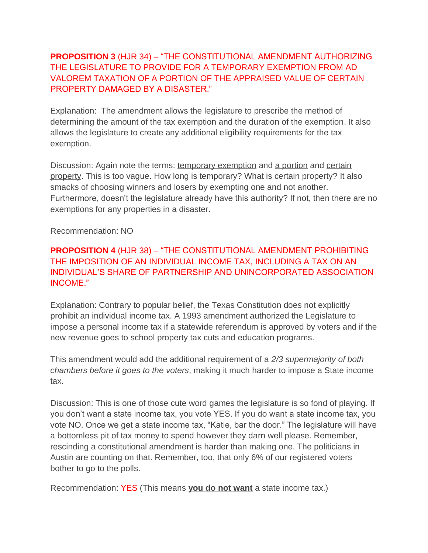## **PROPOSITION 3** (HJR 34) – "THE CONSTITUTIONAL AMENDMENT AUTHORIZING THE LEGISLATURE TO PROVIDE FOR A TEMPORARY EXEMPTION FROM AD VALOREM TAXATION OF A PORTION OF THE APPRAISED VALUE OF CERTAIN PROPERTY DAMAGED BY A DISASTER."

Explanation: The amendment allows the legislature to prescribe the method of determining the amount of the tax exemption and the duration of the exemption. It also allows the legislature to create any additional eligibility requirements for the tax exemption.

Discussion: Again note the terms: temporary exemption and a portion and certain property. This is too vague. How long is temporary? What is certain property? It also smacks of choosing winners and losers by exempting one and not another. Furthermore, doesn't the legislature already have this authority? If not, then there are no exemptions for any properties in a disaster.

Recommendation: NO

#### **PROPOSITION 4** (HJR 38) – "THE CONSTITUTIONAL AMENDMENT PROHIBITING THE IMPOSITION OF AN INDIVIDUAL INCOME TAX, INCLUDING A TAX ON AN INDIVIDUAL'S SHARE OF PARTNERSHIP AND UNINCORPORATED ASSOCIATION INCOME."

Explanation: Contrary to popular belief, the Texas Constitution does not explicitly prohibit an individual income tax. A 1993 amendment authorized the Legislature to impose a personal income tax if a statewide referendum is approved by voters and if the new revenue goes to school property tax cuts and education programs.

This amendment would add the additional requirement of a *2/3 supermajority of both chambers before it goes to the voters*, making it much harder to impose a State income tax.

Discussion: This is one of those cute word games the legislature is so fond of playing. If you don't want a state income tax, you vote YES. If you do want a state income tax, you vote NO. Once we get a state income tax, "Katie, bar the door." The legislature will have a bottomless pit of tax money to spend however they darn well please. Remember, rescinding a constitutional amendment is harder than making one. The politicians in Austin are counting on that. Remember, too, that only 6% of our registered voters bother to go to the polls.

Recommendation: YES (This means **you do not want** a state income tax.)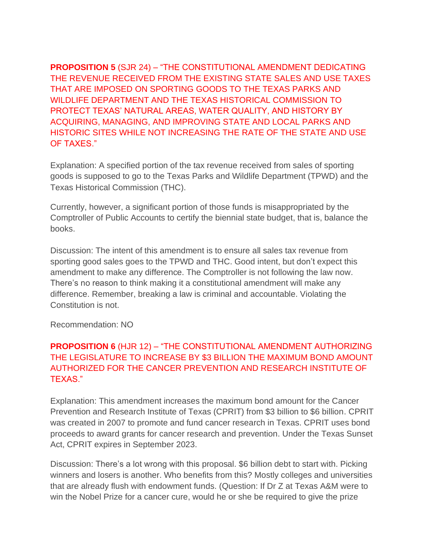**PROPOSITION 5** (SJR 24) – "THE CONSTITUTIONAL AMENDMENT DEDICATING THE REVENUE RECEIVED FROM THE EXISTING STATE SALES AND USE TAXES THAT ARE IMPOSED ON SPORTING GOODS TO THE TEXAS PARKS AND WILDLIFE DEPARTMENT AND THE TEXAS HISTORICAL COMMISSION TO PROTECT TEXAS' NATURAL AREAS, WATER QUALITY, AND HISTORY BY ACQUIRING, MANAGING, AND IMPROVING STATE AND LOCAL PARKS AND HISTORIC SITES WHILE NOT INCREASING THE RATE OF THE STATE AND USE OF TAXES."

Explanation: A specified portion of the tax revenue received from sales of sporting goods is supposed to go to the Texas Parks and Wildlife Department (TPWD) and the Texas Historical Commission (THC).

Currently, however, a significant portion of those funds is misappropriated by the Comptroller of Public Accounts to certify the biennial state budget, that is, balance the books.

Discussion: The intent of this amendment is to ensure all sales tax revenue from sporting good sales goes to the TPWD and THC. Good intent, but don't expect this amendment to make any difference. The Comptroller is not following the law now. There's no reason to think making it a constitutional amendment will make any difference. Remember, breaking a law is criminal and accountable. Violating the Constitution is not.

Recommendation: NO

## **PROPOSITION 6** (HJR 12) – "THE CONSTITUTIONAL AMENDMENT AUTHORIZING THE LEGISLATURE TO INCREASE BY \$3 BILLION THE MAXIMUM BOND AMOUNT AUTHORIZED FOR THE CANCER PREVENTION AND RESEARCH INSTITUTE OF TEXAS."

Explanation: This amendment increases the maximum bond amount for the Cancer Prevention and Research Institute of Texas (CPRIT) from \$3 billion to \$6 billion. CPRIT was created in 2007 to promote and fund cancer research in Texas. CPRIT uses bond proceeds to award grants for cancer research and prevention. Under the Texas Sunset Act, CPRIT expires in September 2023.

Discussion: There's a lot wrong with this proposal. \$6 billion debt to start with. Picking winners and losers is another. Who benefits from this? Mostly colleges and universities that are already flush with endowment funds. (Question: If Dr Z at Texas A&M were to win the Nobel Prize for a cancer cure, would he or she be required to give the prize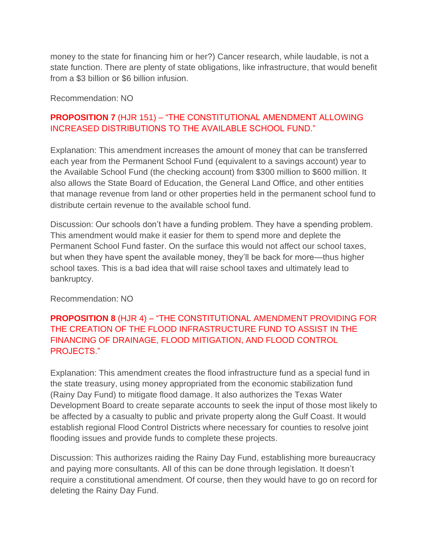money to the state for financing him or her?) Cancer research, while laudable, is not a state function. There are plenty of state obligations, like infrastructure, that would benefit from a \$3 billion or \$6 billion infusion.

Recommendation: NO

#### **PROPOSITION 7** (HJR 151) – "THE CONSTITUTIONAL AMENDMENT ALLOWING INCREASED DISTRIBUTIONS TO THE AVAILABLE SCHOOL FUND."

Explanation: This amendment increases the amount of money that can be transferred each year from the Permanent School Fund (equivalent to a savings account) year to the Available School Fund (the checking account) from \$300 million to \$600 million. It also allows the State Board of Education, the General Land Office, and other entities that manage revenue from land or other properties held in the permanent school fund to distribute certain revenue to the available school fund.

Discussion: Our schools don't have a funding problem. They have a spending problem. This amendment would make it easier for them to spend more and deplete the Permanent School Fund faster. On the surface this would not affect our school taxes, but when they have spent the available money, they'll be back for more—thus higher school taxes. This is a bad idea that will raise school taxes and ultimately lead to bankruptcy.

Recommendation: NO

#### **PROPOSITION 8** (HJR 4) – "THE CONSTITUTIONAL AMENDMENT PROVIDING FOR THE CREATION OF THE FLOOD INFRASTRUCTURE FUND TO ASSIST IN THE FINANCING OF DRAINAGE, FLOOD MITIGATION, AND FLOOD CONTROL PROJECTS."

Explanation: This amendment creates the flood infrastructure fund as a special fund in the state treasury, using money appropriated from the economic stabilization fund (Rainy Day Fund) to mitigate flood damage. It also authorizes the Texas Water Development Board to create separate accounts to seek the input of those most likely to be affected by a casualty to public and private property along the Gulf Coast. It would establish regional Flood Control Districts where necessary for counties to resolve joint flooding issues and provide funds to complete these projects.

Discussion: This authorizes raiding the Rainy Day Fund, establishing more bureaucracy and paying more consultants. All of this can be done through legislation. It doesn't require a constitutional amendment. Of course, then they would have to go on record for deleting the Rainy Day Fund.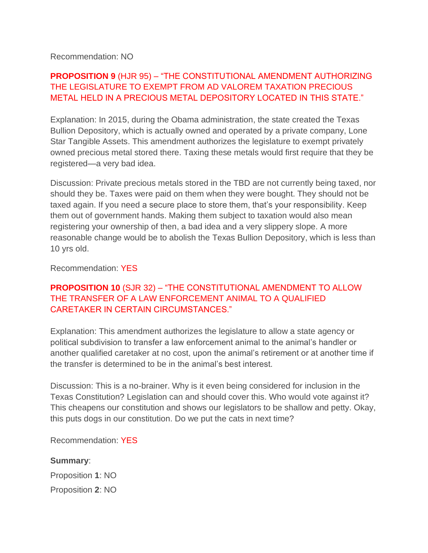#### Recommendation: NO

## **PROPOSITION 9** (HJR 95) – "THE CONSTITUTIONAL AMENDMENT AUTHORIZING THE LEGISLATURE TO EXEMPT FROM AD VALOREM TAXATION PRECIOUS METAL HELD IN A PRECIOUS METAL DEPOSITORY LOCATED IN THIS STATE."

Explanation: In 2015, during the Obama administration, the state created the Texas Bullion Depository, which is actually owned and operated by a private company, Lone Star Tangible Assets. This amendment authorizes the legislature to exempt privately owned precious metal stored there. Taxing these metals would first require that they be registered—a very bad idea.

Discussion: Private precious metals stored in the TBD are not currently being taxed, nor should they be. Taxes were paid on them when they were bought. They should not be taxed again. If you need a secure place to store them, that's your responsibility. Keep them out of government hands. Making them subject to taxation would also mean registering your ownership of then, a bad idea and a very slippery slope. A more reasonable change would be to abolish the Texas Bullion Depository, which is less than 10 yrs old.

#### Recommendation: YES

#### **PROPOSITION 10** (SJR 32) – "THE CONSTITUTIONAL AMENDMENT TO ALLOW THE TRANSFER OF A LAW ENFORCEMENT ANIMAL TO A QUALIFIED CARETAKER IN CERTAIN CIRCUMSTANCES."

Explanation: This amendment authorizes the legislature to allow a state agency or political subdivision to transfer a law enforcement animal to the animal's handler or another qualified caretaker at no cost, upon the animal's retirement or at another time if the transfer is determined to be in the animal's best interest.

Discussion: This is a no-brainer. Why is it even being considered for inclusion in the Texas Constitution? Legislation can and should cover this. Who would vote against it? This cheapens our constitution and shows our legislators to be shallow and petty. Okay, this puts dogs in our constitution. Do we put the cats in next time?

Recommendation: YES

#### **Summary**:

Proposition **1**: NO

Proposition **2**: NO